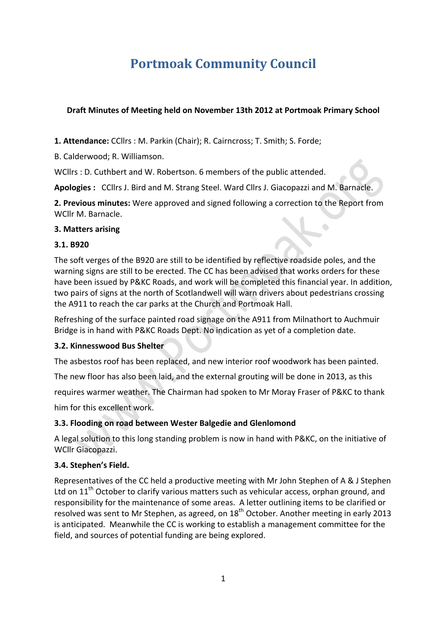# **Portmoak Community Council**

#### **Draft Minutes of Meeting held on November 13th 2012 at Portmoak Primary School**

**1. Attendance:** CCllrs : M. Parkin (Chair); R. Cairncross; T. Smith; S. Forde;

B. Calderwood; R. Williamson.

WCllrs : D. Cuthbert and W. Robertson. 6 members of the public attended.

Apologies : CCllrs J. Bird and M. Strang Steel. Ward Cllrs J. Giacopazzi and M. Barnacle.

**2. Previous minutes:** Were approved and signed following a correction to the Report from WCllr M. Barnacle.

#### **3. Matters arising**

#### **3.1. B920**

The soft verges of the B920 are still to be identified by reflective roadside poles, and the warning signs are still to be erected. The CC has been advised that works orders for these have been issued by P&KC Roads, and work will be completed this financial year. In addition, two pairs of signs at the north of Scotlandwell will warn drivers about pedestrians crossing the A911 to reach the car parks at the Church and Portmoak Hall.

Refreshing of the surface painted road signage on the A911 from Milnathort to Auchmuir Bridge is in hand with P&KC Roads Dept. No indication as yet of a completion date.

#### **3.2. Kinnesswood Bus Shelter**

The asbestos roof has been replaced, and new interior roof woodwork has been painted.

The new floor has also been laid, and the external grouting will be done in 2013, as this

requires warmer weather. The Chairman had spoken to Mr Moray Fraser of P&KC to thank

him for this excellent work.

## **3.3. Flooding on road between Wester Balgedie and Glenlomond**

A legal solution to this long standing problem is now in hand with P&KC, on the initiative of WCllr Giacopazzi.

#### **3.4. Stephen's Field.**

Representatives of the CC held a productive meeting with Mr John Stephen of A & J Stephen Ltd on  $11<sup>th</sup>$  October to clarify various matters such as vehicular access, orphan ground, and responsibility for the maintenance of some areas. A letter outlining items to be clarified or resolved was sent to Mr Stephen, as agreed, on  $18<sup>th</sup>$  October. Another meeting in early 2013 is anticipated. Meanwhile the CC is working to establish a management committee for the field, and sources of potential funding are being explored.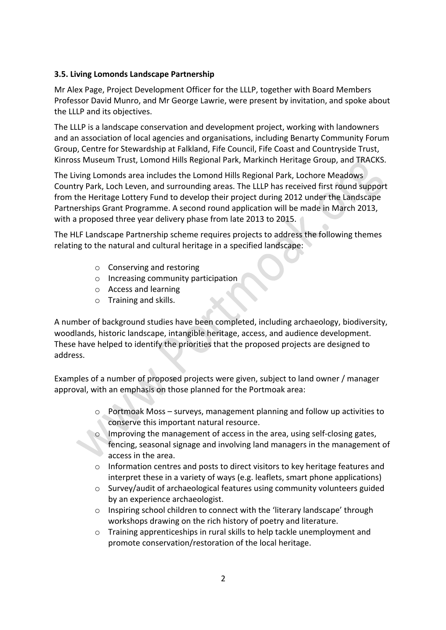## **3.5. Living Lomonds Landscape Partnership**

Mr Alex Page, Project Development Officer for the LLLP, together with Board Members Professor David Munro, and Mr George Lawrie, were present by invitation, and spoke about the LLLP and its objectives.

The LLLP is a landscape conservation and development project, working with landowners and an association of local agencies and organisations, including Benarty Community Forum Group, Centre for Stewardship at Falkland, Fife Council, Fife Coast and Countryside Trust, Kinross Museum Trust, Lomond Hills Regional Park, Markinch Heritage Group, and TRACKS.

The Living Lomonds area includes the Lomond Hills Regional Park, Lochore Meadows Country Park, Loch Leven, and surrounding areas. The LLLP has received first round support from the Heritage Lottery Fund to develop their project during 2012 under the Landscape Partnerships Grant Programme. A second round application will be made in March 2013, with a proposed three year delivery phase from late 2013 to 2015.

The HLF Landscape Partnership scheme requires projects to address the following themes relating to the natural and cultural heritage in a specified landscape:

- $\circ$  Conserving and restoring
- $\circ$  Increasing community participation
- o Access and learning
- $\circ$  Training and skills.

A number of background studies have been completed, including archaeology, biodiversity, woodlands, historic landscape, intangible heritage, access, and audience development. These have helped to identify the priorities that the proposed projects are designed to address.

Examples of a number of proposed projects were given, subject to land owner / manager approval, with an emphasis on those planned for the Portmoak area:

- $\circ$  Portmoak Moss surveys, management planning and follow up activities to conserve this important natural resource.
- Improving the management of access in the area, using self-closing gates, fencing, seasonal signage and involving land managers in the management of access in the area.
- $\circ$  Information centres and posts to direct visitors to key heritage features and interpret these in a variety of ways (e.g. leaflets, smart phone applications)
- $\circ$  Survey/audit of archaeological features using community volunteers guided by an experience archaeologist.
- $\circ$  Inspiring school children to connect with the 'literary landscape' through workshops drawing on the rich history of poetry and literature.
- $\circ$  Training apprenticeships in rural skills to help tackle unemployment and promote conservation/restoration of the local heritage.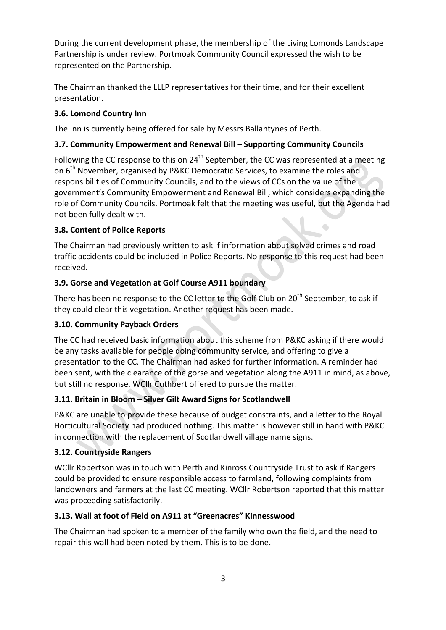During the current development phase, the membership of the Living Lomonds Landscape Partnership is under review. Portmoak Community Council expressed the wish to be represented on the Partnership.

The Chairman thanked the LLLP representatives for their time, and for their excellent presentation.

# **3.6. Lomond Country Inn**

The Inn is currently being offered for sale by Messrs Ballantynes of Perth.

# **3.7. Community Empowerment and Renewal Bill – Supporting Community Councils**

Following the CC response to this on  $24<sup>th</sup>$  September, the CC was represented at a meeting on 6<sup>th</sup> November, organised by P&KC Democratic Services, to examine the roles and responsibilities of Community Councils, and to the views of CCs on the value of the government's Community Empowerment and Renewal Bill, which considers expanding the role of Community Councils. Portmoak felt that the meeting was useful, but the Agenda had not been fully dealt with.

 $\hat{\phantom{a}}$ 

# **3.8. Content of Police Reports**

The Chairman had previously written to ask if information about solved crimes and road traffic accidents could be included in Police Reports. No response to this request had been received.

# **3.9. Gorse and Vegetation at Golf Course A911 boundary**

There has been no response to the CC letter to the Golf Club on  $20<sup>th</sup>$  September, to ask if they could clear this vegetation. Another request has been made.

## **3.10. Community Payback Orders**

The CC had received basic information about this scheme from P&KC asking if there would be any tasks available for people doing community service, and offering to give a presentation to the CC. The Chairman had asked for further information. A reminder had been sent, with the clearance of the gorse and vegetation along the A911 in mind, as above, but still no response. WCllr Cuthbert offered to pursue the matter.

# **3.11. Britain in Bloom – Silver Gilt Award Signs for Scotlandwell**

P&KC are unable to provide these because of budget constraints, and a letter to the Royal Horticultural Society had produced nothing. This matter is however still in hand with P&KC in connection with the replacement of Scotlandwell village name signs.

## **3.12. Countryside Rangers**

WCllr Robertson was in touch with Perth and Kinross Countryside Trust to ask if Rangers could be provided to ensure responsible access to farmland, following complaints from landowners and farmers at the last CC meeting. WCllr Robertson reported that this matter was proceeding satisfactorily.

# **3.13. Wall at foot of Field on A911 at "Greenacres" Kinnesswood**

The Chairman had spoken to a member of the family who own the field, and the need to repair this wall had been noted by them. This is to be done.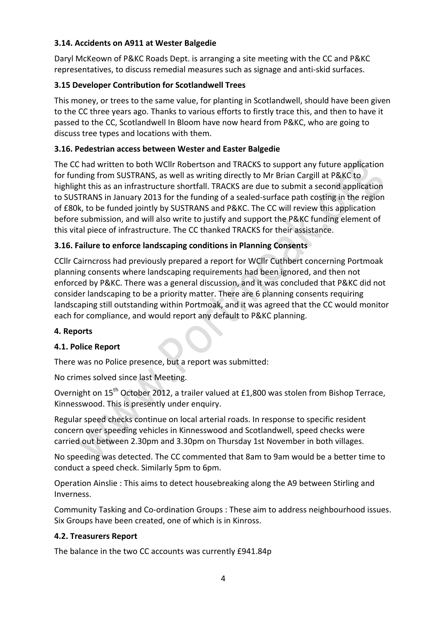## **3.14. Accidents on A911 at Wester Balgedie**

Daryl McKeown of P&KC Roads Dept. is arranging a site meeting with the CC and P&KC representatives, to discuss remedial measures such as signage and anti-skid surfaces.

# **3.15 Developer Contribution for Scotlandwell Trees**

This money, or trees to the same value, for planting in Scotlandwell, should have been given to the CC three years ago. Thanks to various efforts to firstly trace this, and then to have it passed to the CC, Scotlandwell In Bloom have now heard from P&KC, who are going to discuss tree types and locations with them.

# **3.16. Pedestrian access between Wester and Easter Balgedie**

The CC had written to both WCllr Robertson and TRACKS to support any future application for funding from SUSTRANS, as well as writing directly to Mr Brian Cargill at P&KC to highlight this as an infrastructure shortfall. TRACKS are due to submit a second application to SUSTRANS in January 2013 for the funding of a sealed-surface path costing in the region of £80k, to be funded jointly by SUSTRANS and P&KC. The CC will review this application before submission, and will also write to justify and support the P&KC funding element of this vital piece of infrastructure. The CC thanked TRACKS for their assistance.

# **3.16. Failure to enforce landscaping conditions in Planning Consents**

CCIIr Cairncross had previously prepared a report for WCIIr Cuthbert concerning Portmoak planning consents where landscaping requirements had been ignored, and then not enforced by P&KC. There was a general discussion, and it was concluded that P&KC did not consider landscaping to be a priority matter. There are 6 planning consents requiring landscaping still outstanding within Portmoak, and it was agreed that the CC would monitor each for compliance, and would report any default to P&KC planning.

## **4. Reports**

## **4.1. Police Report**

There was no Police presence, but a report was submitted:

No crimes solved since last Meeting.

Overnight on 15<sup>th</sup> October 2012, a trailer valued at £1,800 was stolen from Bishop Terrace, Kinnesswood. This is presently under enquiry.

Regular speed checks continue on local arterial roads. In response to specific resident concern over speeding vehicles in Kinnesswood and Scotlandwell, speed checks were carried out between 2.30pm and 3.30pm on Thursday 1st November in both villages.

No speeding was detected. The CC commented that 8am to 9am would be a better time to conduct a speed check. Similarly 5pm to 6pm.

Operation Ainslie : This aims to detect housebreaking along the A9 between Stirling and Inverness.

Community Tasking and Co-ordination Groups : These aim to address neighbourhood issues. Six Groups have been created, one of which is in Kinross.

## **4.2. Treasurers Report**

The balance in the two CC accounts was currently £941.84p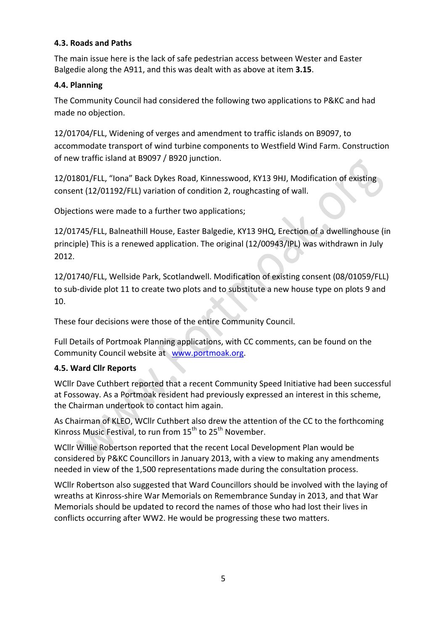## **4.3. Roads and Paths**

The main issue here is the lack of safe pedestrian access between Wester and Easter Balgedie along the A911, and this was dealt with as above at item 3.15.

## **4.4. Planning**

The Community Council had considered the following two applications to P&KC and had made no objection.

12/01704/FLL, Widening of verges and amendment to traffic islands on B9097, to accommodate transport of wind turbine components to Westfield Wind Farm. Construction of new traffic island at B9097 / B920 junction.

12/01801/FLL, "Iona" Back Dykes Road, Kinnesswood, KY13 9HJ, Modification of existing consent (12/01192/FLL) variation of condition 2, roughcasting of wall.

Objections were made to a further two applications;

12/01745/FLL, Balneathill House, Easter Balgedie, KY13 9HQ, Erection of a dwellinghouse (in principle) This is a renewed application. The original (12/00943/IPL) was withdrawn in July 2012.

12/01740/FLL, Wellside Park, Scotlandwell. Modification of existing consent (08/01059/FLL) to sub-divide plot 11 to create two plots and to substitute a new house type on plots 9 and 10. 

These four decisions were those of the entire Community Council.

Full Details of Portmoak Planning applications, with CC comments, can be found on the Community Council website at www.portmoak.org.

## **4.5. Ward Cllr Reports**

WCllr Dave Cuthbert reported that a recent Community Speed Initiative had been successful at Fossoway. As a Portmoak resident had previously expressed an interest in this scheme, the Chairman undertook to contact him again.

As Chairman of KLEO, WCllr Cuthbert also drew the attention of the CC to the forthcoming Kinross Music Festival, to run from  $15^{th}$  to  $25^{th}$  November.

WCllr Willie Robertson reported that the recent Local Development Plan would be considered by P&KC Councillors in January 2013, with a view to making any amendments needed in view of the 1,500 representations made during the consultation process.

WCllr Robertson also suggested that Ward Councillors should be involved with the laying of wreaths at Kinross-shire War Memorials on Remembrance Sunday in 2013, and that War Memorials should be updated to record the names of those who had lost their lives in conflicts occurring after WW2. He would be progressing these two matters.